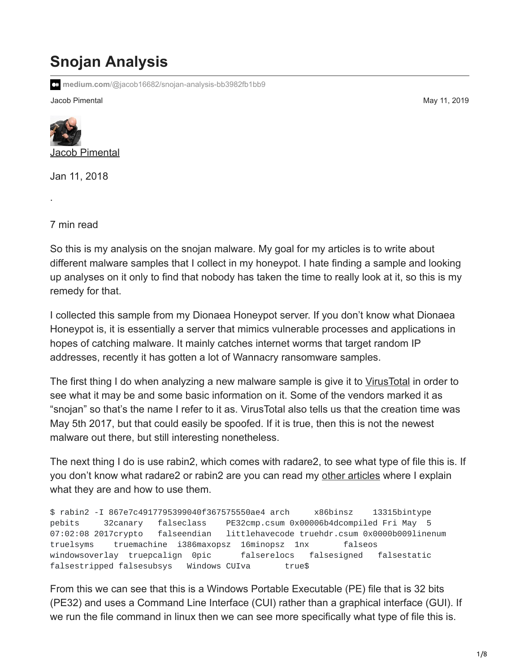## **Snojan Analysis**

**medium.com**[/@jacob16682/snojan-analysis-bb3982fb1bb9](https://medium.com/@jacob16682/snojan-analysis-bb3982fb1bb9)

Jacob Pimental May 11, 2019



Jan 11, 2018

7 min read

·

So this is my analysis on the snojan malware. My goal for my articles is to write about different malware samples that I collect in my honeypot. I hate finding a sample and looking up analyses on it only to find that nobody has taken the time to really look at it, so this is my remedy for that.

I collected this sample from my Dionaea Honeypot server. If you don't know what Dionaea Honeypot is, it is essentially a server that mimics vulnerable processes and applications in hopes of catching malware. It mainly catches internet worms that target random IP addresses, recently it has gotten a lot of Wannacry ransomware samples.

The first thing I do when analyzing a new malware sample is give it to [VirusTotal](https://www.virustotal.com/#/file/1c678ac8a1b77966c948ed5c988baaf47dd5a983d5c4e0f8befffe8c45f51a95/details) in order to see what it may be and some basic information on it. Some of the vendors marked it as "snojan" so that's the name I refer to it as. VirusTotal also tells us that the creation time was May 5th 2017, but that could easily be spoofed. If it is true, then this is not the newest malware out there, but still interesting nonetheless.

The next thing I do is use rabin2, which comes with radare2, to see what type of file this is. If you don't know what radare2 or rabin2 are you can read my [other articles](https://medium.com/@jacob16682/reverse-engineering-using-radare2-588775ea38d5) where I explain what they are and how to use them.

\$ rabin2 -I 867e7c4917795399040f367575550ae4 arch x86binsz 13315bintype pebits 32canary falseclass PE32cmp.csum 0x00006b4dcompiled Fri May 5 07:02:08 2017crypto falseendian littlehavecode truehdr.csum 0x0000b009linenum truelsyms truemachine i386maxopsz 16minopsz 1nx falseos windowsoverlay truepcalign 0pic falserelocs falsesigned falsestatic falsestripped falsesubsys Windows CUIva true\$

From this we can see that this is a Windows Portable Executable (PE) file that is 32 bits (PE32) and uses a Command Line Interface (CUI) rather than a graphical interface (GUI). If we run the file command in linux then we can see more specifically what type of file this is.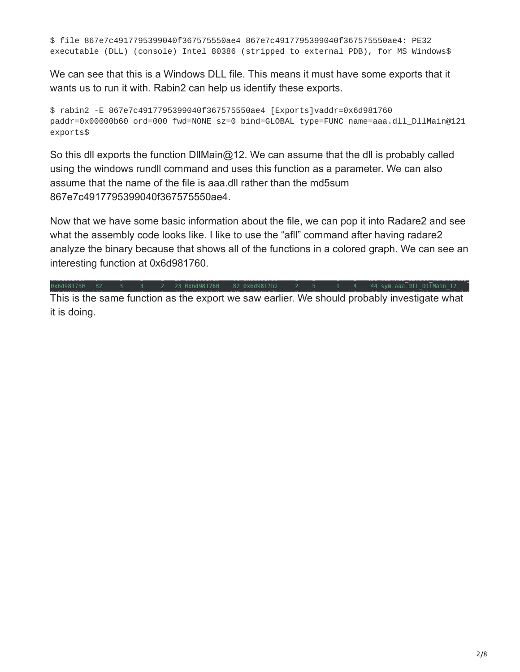\$ file 867e7c4917795399040f367575550ae4 867e7c4917795399040f367575550ae4: PE32 executable (DLL) (console) Intel 80386 (stripped to external PDB), for MS Windows\$

We can see that this is a Windows DLL file. This means it must have some exports that it wants us to run it with. Rabin2 can help us identify these exports.

\$ rabin2 -E 867e7c4917795399040f367575550ae4 [Exports]vaddr=0x6d981760 paddr=0x00000b60 ord=000 fwd=NONE sz=0 bind=GLOBAL type=FUNC name=aaa.dll\_DllMain@121 exports\$

So this dll exports the function DllMain@12. We can assume that the dll is probably called using the windows rundll command and uses this function as a parameter. We can also assume that the name of the file is aaa.dll rather than the md5sum 867e7c4917795399040f367575550ae4.

Now that we have some basic information about the file, we can pop it into Radare2 and see what the assembly code looks like. I like to use the "afll" command after having radare2 analyze the binary because that shows all of the functions in a colored graph. We can see an interesting function at 0x6d981760.

 $\overline{3}$  2 23 0x6d981760 82 0x6d9817b2 2 0x6d981760 82

This is the same function as the export we saw earlier. We should probably investigate what it is doing.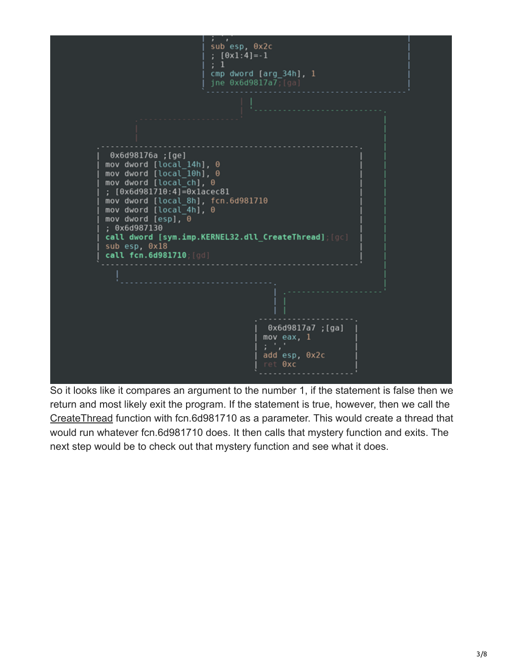

So it looks like it compares an argument to the number 1, if the statement is false then we return and most likely exit the program. If the statement is true, however, then we call the [CreateThread](https://msdn.microsoft.com/en-us/library/windows/desktop/ms682453(v=vs.85).aspx) function with fcn.6d981710 as a parameter. This would create a thread that would run whatever fcn.6d981710 does. It then calls that mystery function and exits. The next step would be to check out that mystery function and see what it does.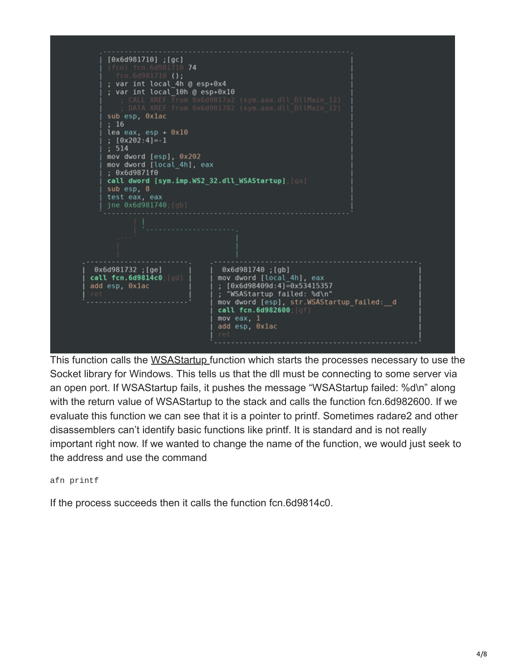

This function calls the [WSAStartup](https://msdn.microsoft.com/en-us/library/windows/desktop/ms742213(v=vs.85).aspx) function which starts the processes necessary to use the Socket library for Windows. This tells us that the dll must be connecting to some server via an open port. If WSAStartup fails, it pushes the message "WSAStartup failed: %d\n" along with the return value of WSAStartup to the stack and calls the function fcn.6d982600. If we evaluate this function we can see that it is a pointer to printf. Sometimes radare2 and other disassemblers can't identify basic functions like printf. It is standard and is not really important right now. If we wanted to change the name of the function, we would just seek to the address and use the command

afn printf

If the process succeeds then it calls the function fcn.6d9814c0.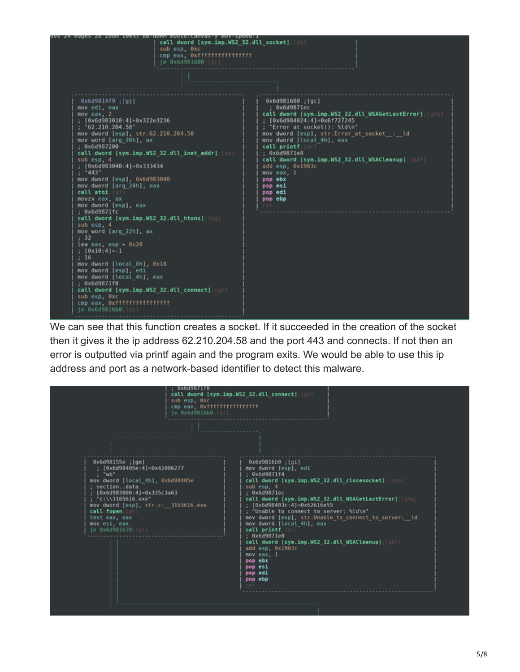

We can see that this function creates a socket. If it succeeded in the creation of the socket then it gives it the ip address 62.210.204.58 and the port 443 and connects. If not then an error is outputted via printf again and the program exits. We would be able to use this ip address and port as a network-based identifier to detect this malware.

c6d987118 call dword [sym.imp.WS2\_32.dll\_connect]; [g sub esp. 0xc cmp eax, 0xffffffffffffffffffff<br>je 0x6d9816b0;[gi] Θx6d9816b0 ; [gi] mov dword [esp], edi ; 0x6d9871f4 call dword [sym.imp.WS2\_32.dll\_closesocket]; [gAe] mov dword [local\_4h], 0x6d98405e ; section..data<br>; [0x6d983000:4]=0x335c3a63 sub esp. ; 0x6d9871ec ; example: 1<br>
call dword [sym.imp.WS2\_32.dll\_WSAGetLastError]; [gAg]<br>
; [0x6d98403c:4]=0x62616e55<br>
; "Unable to connect to server: %ld\n"<br>
mov dword [esp], str.Unable\_to\_connect\_to\_server:\_\_ld<br>
mov dword [local\_4h], eax<br>
c "c:\\3165616.exe mov\_dword [esp], str.c:\_\_3165616.exe call fopen: test eax, eax mov esi, eax<br>je 0x6d981639;[gl call printf;<br>; 0x6d9871e8 call dword [sym.imp.WS2\_32.dll\_WSACleanup];[gAf]<br>add esp, 0x1903c pop ebx pop esi pop edi pop ebp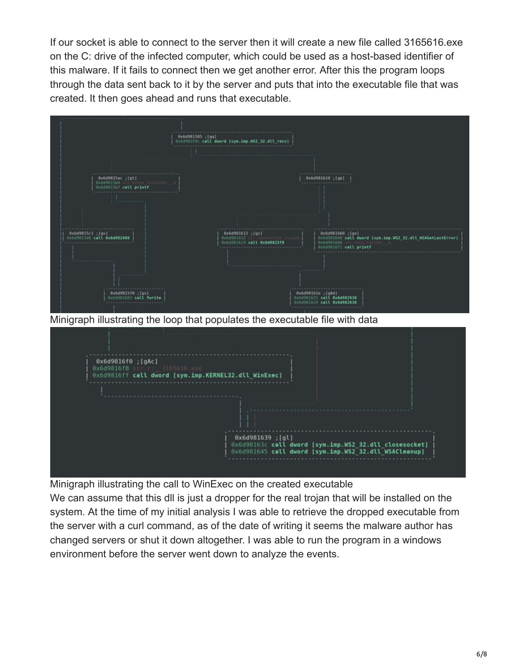If our socket is able to connect to the server then it will create a new file called 3165616.exe on the C: drive of the infected computer, which could be used as a host-based identifier of this malware. If it fails to connect then we get another error. After this the program loops through the data sent back to it by the server and puts that into the executable file that was created. It then goes ahead and runs that executable.



Minigraph illustrating the call to WinExec on the created executable

We can assume that this dll is just a dropper for the real trojan that will be installed on the system. At the time of my initial analysis I was able to retrieve the dropped executable from the server with a curl command, as of the date of writing it seems the malware author has changed servers or shut it down altogether. I was able to run the program in a windows environment before the server went down to analyze the events.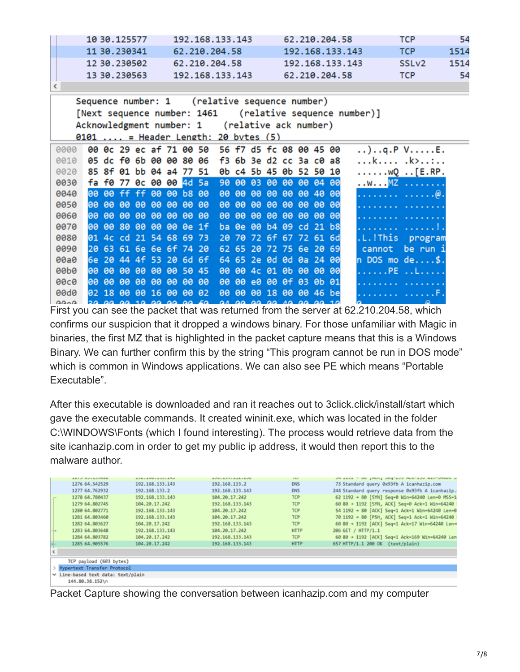| 10 30, 125577 | 192.168.133.143 | 62.210.204.58   | <b>TCP</b>        | 54   |
|---------------|-----------------|-----------------|-------------------|------|
| 11 30.230341  | 62.210.204.58   | 192.168.133.143 | <b>TCP</b>        | 1514 |
| 12 30.230502  | 62.210.204.58   | 192.168.133.143 | SSL <sub>v2</sub> | 1514 |
| 13 30, 230563 | 192.168.133.143 | 62.210.204.58   | <b>TCP</b>        | 54   |
|               |                 |                 |                   |      |

| Sequence number: 1 (relative sequence number)<br>[Next sequence number: 1461 (relative sequence number)]<br>Acknowledgment number: 1 (relative ack number) |      |                 |                         |                 |          |             |           |                         |           |           |           |       |                         |              |                                      |
|------------------------------------------------------------------------------------------------------------------------------------------------------------|------|-----------------|-------------------------|-----------------|----------|-------------|-----------|-------------------------|-----------|-----------|-----------|-------|-------------------------|--------------|--------------------------------------|
| $0101$ = Header Length: 20 bytes $(5)$                                                                                                                     |      |                 |                         |                 |          |             |           |                         |           |           |           |       |                         |              |                                      |
| 0000                                                                                                                                                       |      |                 |                         |                 |          |             |           | 00 Oc 29 ec af 71 00 50 |           |           |           |       | 56 f7 d5 fc 08 00 45 00 |              | $\ldots$ )q.P VE.                    |
| 0010                                                                                                                                                       |      |                 |                         |                 |          |             |           | 05 dc f0 6b 00 00 80 06 |           |           |           |       | f3 6b 3e d2 cc 3a c0 a8 |              | k .k>:                               |
| 0020                                                                                                                                                       |      |                 |                         |                 |          |             |           | 85 8f 01 bb 04 a4 77 51 |           |           |           |       | 0b c4 5b 45 0b 52 50 10 |              | $\ldots \ldots \vee Q \ldots$ [E.RP. |
| 0030                                                                                                                                                       |      |                 |                         |                 |          |             |           | fa f0 77 0c 00 00 4d 5a |           |           |           |       | 90 00 03 00 00 00 04 00 |              | . .w. MZ                             |
| 0040                                                                                                                                                       |      |                 |                         |                 |          |             |           | 00 00 ff ff 00 00 b8 00 | <b>BB</b> | ee i      |           | 88 88 |                         | 00 00 40 00  | .   (@ .                             |
| 0050                                                                                                                                                       |      |                 | 00 00 00 00 00 00 00    |                 |          |             |           | <b>BB</b>               | <b>BB</b> | <b>ee</b> |           | 88 88 | ee i                    | 00 00 00     |                                      |
| 0060                                                                                                                                                       | 100  | ee.             | <b>BB</b>               | ee i            | -60      | <b>BB</b>   | -60       | <b>BB</b>               | ee.       | ee i      | <b>BB</b> | -60   | -60                     | 00 00 00     |                                      |
| 0070                                                                                                                                                       | l90. | 00 <sup>2</sup> | -80                     | 00 <sub>o</sub> | ee i     | ee i        | $0e$ 1f   |                         |           |           |           |       | ba 0e 00 b4 09 cd 21 b8 |              |                                      |
| 6686                                                                                                                                                       |      |                 | 01 4c cd 21 54 68 69 73 |                 |          |             |           |                         |           |           |           |       | 20 70 72 6f 67 72 61 6d |              | .L.!This<br>program                  |
| 0090                                                                                                                                                       |      |                 | 20 63 61 6e 6e 6f 74 20 |                 |          |             |           |                         |           |           |           |       | 62 65 20 72 75 6e 20 69 |              | be run i<br>cannot                   |
| 00a0                                                                                                                                                       |      | 6e 20           |                         |                 | 44 4f 53 | $206d$ 6f   |           |                         |           |           |           |       | 64 65 2e 0d 0d 0a 24 00 |              | $n$ DOS mo $de$ .                    |
| eepe                                                                                                                                                       |      | 100 00          | <b>BB</b>               | ee i            | ee i     | <b>BB</b>   | -50       | 45                      | <b>BB</b> | <b>BB</b> | 4c        |       | 01 0b 00                | <b>00 00</b> | . PE L                               |
| 00c0                                                                                                                                                       |      | 100 00          | 00                      | ee i            | -00      | <b>BB</b>   | -60       | <b>BB</b>               | 80        | ee.       | e0        | ee i  |                         | 0f 03 0b 01  |                                      |
| <b>ande</b>                                                                                                                                                |      | 12 12           |                         |                 |          | 00 00 16 00 | <b>PA</b> | <b>82</b>               | <b>PA</b> | <b>PA</b> | <b>PA</b> | 18    | <b>AA</b>               | 00 46 be     |                                      |
| 0.000                                                                                                                                                      |      |                 |                         |                 |          |             |           |                         |           |           |           |       |                         |              |                                      |

First you can see the packet that was returned from the server at 62.210.204.58, which confirms our suspicion that it dropped a windows binary. For those unfamiliar with Magic in binaries, the first MZ that is highlighted in the packet capture means that this is a Windows Binary. We can further confirm this by the string "This program cannot be run in DOS mode" which is common in Windows applications. We can also see PE which means "Portable Executable".

After this executable is downloaded and ran it reaches out to 3click.click/install/start which gave the executable commands. It created wininit.exe, which was located in the folder C:\WINDOWS\Fonts (which I found interesting). The process would retrieve data from the site icanhazip.com in order to get my public ip address, it would then report this to the malware author.

|            | AAI A MALA AAWAM                   | 医深色 人名加阿尔法沃沃尔法阿沃 | 医深部小血深深小血血病小血 不死 | <b>Electric</b> | - an issued had-the services structure.         |  |  |  |  |  |  |
|------------|------------------------------------|------------------|------------------|-----------------|-------------------------------------------------|--|--|--|--|--|--|
|            | 1276 64, 542529                    | 192.168.133.143  | 192.168.133.2    | <b>DNS</b>      | 73 Standard query 0x93fb A icanhazip.com        |  |  |  |  |  |  |
|            | 1277 64.762932                     | 192.168.133.2    | 192.168.133.143  | <b>DNS</b>      | 244 Standard query response 0x93fb A icanhazip. |  |  |  |  |  |  |
|            | 1278 64.788437                     | 192.168.133.143  | 184.28.17.242    | <b>TCP</b>      | 62 1192 - 80 [SYN] Seq-0 Win-64240 Len-0 MSS-1  |  |  |  |  |  |  |
|            | 1279 64.802745                     | 104.20.17.242    | 192.168.133.143  | <b>TCP</b>      | 60 80 + 1192 [SYN, ACK] Seq=0 Ack=1 Win=64240   |  |  |  |  |  |  |
|            | 1280 64.882771                     | 192.168.133.143  | 184.28.17.242    | <b>TCP</b>      | 54 1192 - 80 [ACK] Seg-1 Ack-1 Win-64240 Len-0  |  |  |  |  |  |  |
|            | 1281 64.803460                     | 192.168.133.143  | 184.28.17.242    | <b>TCP</b>      | 70 1192 + 80 [PSH, ACK] Seq=1 Ack=1 Win=64240   |  |  |  |  |  |  |
|            | 1282 64.803627                     | 184.20.17.242    | 192.168.133.143  | <b>TCP</b>      | 60 80 + 1192 [ACK] Seq=1 Ack=17 Win=64240 Len=4 |  |  |  |  |  |  |
|            | 1283 64.803648                     | 192.168.133.143  | 184.28.17.242    | <b>HTTP</b>     | 206 GET / HTTP/1.1                              |  |  |  |  |  |  |
|            | 1284 64, 893782                    | 104.20.17.242    | 192.168.133.143  | <b>TCP</b>      | 60 80 + 1192 [ACK] Seg=1 Ack=169 Win=64240 Len  |  |  |  |  |  |  |
|            | 1285 64.985576                     | 184.20.17.242    | 192.168.133.143  | <b>HTTP</b>     | 657 HTTP/1.1 200 OK (text/plain)                |  |  |  |  |  |  |
| $\epsilon$ |                                    |                  |                  |                 |                                                 |  |  |  |  |  |  |
|            | TCP payload (603 bytes)            |                  |                  |                 |                                                 |  |  |  |  |  |  |
|            | Hypertext Transfer Protocol        |                  |                  |                 |                                                 |  |  |  |  |  |  |
|            | v Line-based text data: text/plain |                  |                  |                 |                                                 |  |  |  |  |  |  |
|            | 144.80.38.152\n                    |                  |                  |                 |                                                 |  |  |  |  |  |  |

Packet Capture showing the conversation between icanhazip.com and my computer